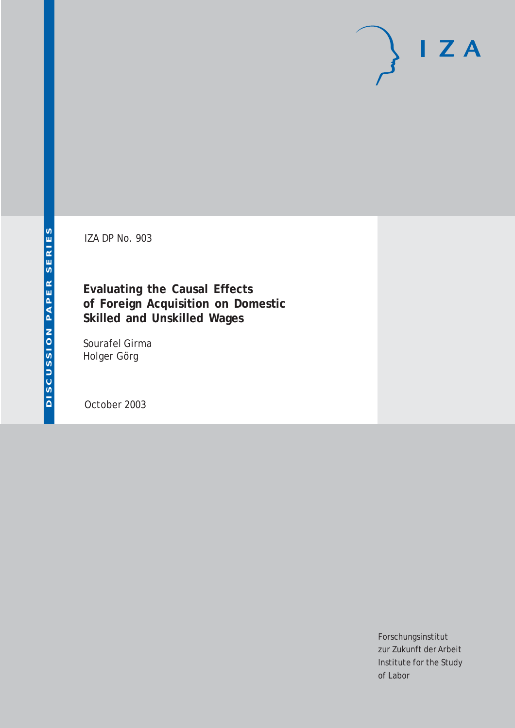IZA DP No. 903

**Evaluating the Causal Effects of Foreign Acquisition on Domestic Skilled and Unskilled Wages**

Sourafel Girma Holger Görg

October 2003

Forschungsinstitut zur Zukunft der Arbeit Institute for the Study of Labor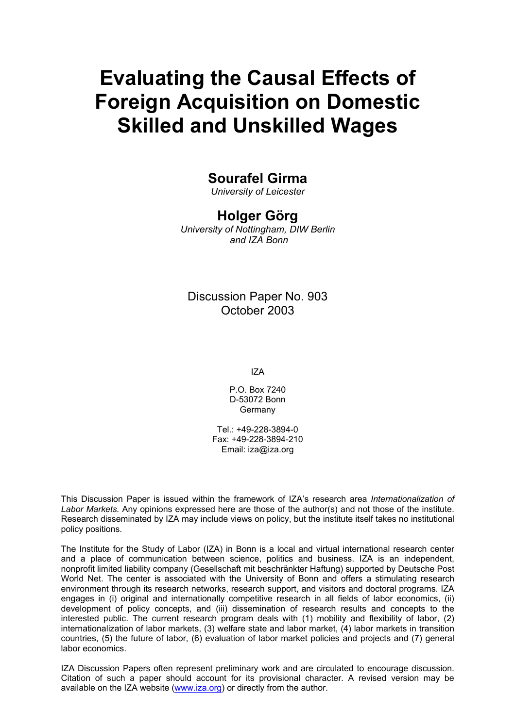# **Evaluating the Causal Effects of Foreign Acquisition on Domestic Skilled and Unskilled Wages**

### **Sourafel Girma**

*University of Leicester* 

#### **Holger Görg**

*University of Nottingham, DIW Berlin and IZA Bonn*

#### Discussion Paper No. 903 October 2003

IZA

P.O. Box 7240 D-53072 Bonn Germany

Tel.: +49-228-3894-0 Fax: +49-228-3894-210 Email: [iza@iza.org](mailto:iza@iza.org)

This Discussion Paper is issued within the framework of IZA's research area *Internationalization of Labor Markets.* Any opinions expressed here are those of the author(s) and not those of the institute. Research disseminated by IZA may include views on policy, but the institute itself takes no institutional policy positions.

The Institute for the Study of Labor (IZA) in Bonn is a local and virtual international research center and a place of communication between science, politics and business. IZA is an independent, nonprofit limited liability company (Gesellschaft mit beschränkter Haftung) supported by Deutsche Post World Net. The center is associated with the University of Bonn and offers a stimulating research environment through its research networks, research support, and visitors and doctoral programs. IZA engages in (i) original and internationally competitive research in all fields of labor economics, (ii) development of policy concepts, and (iii) dissemination of research results and concepts to the interested public. The current research program deals with (1) mobility and flexibility of labor, (2) internationalization of labor markets, (3) welfare state and labor market, (4) labor markets in transition countries, (5) the future of labor, (6) evaluation of labor market policies and projects and (7) general labor economics.

IZA Discussion Papers often represent preliminary work and are circulated to encourage discussion. Citation of such a paper should account for its provisional character. A revised version may be available on the IZA website ([www.iza.org](http://www.iza.org/)) or directly from the author.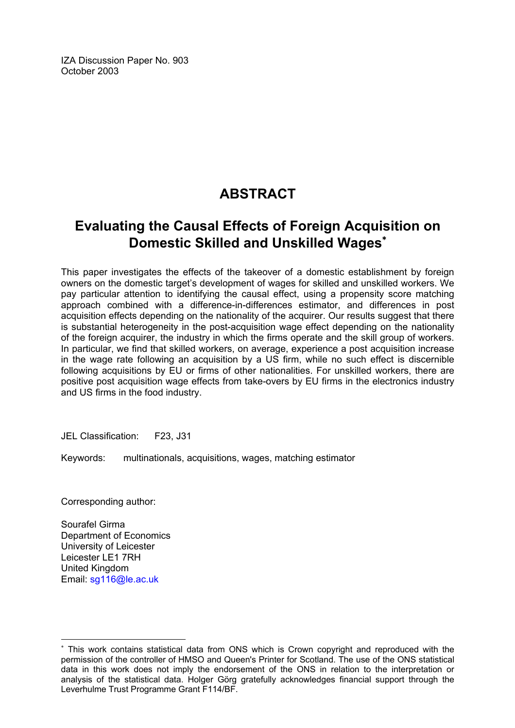IZA Discussion Paper No. 903 October 2003

### **ABSTRACT**

### **Evaluating the Causal Effects of Foreign Acquisition on Domestic Skilled and Unskilled Wages**[∗](#page-2-0)

This paper investigates the effects of the takeover of a domestic establishment by foreign owners on the domestic target's development of wages for skilled and unskilled workers. We pay particular attention to identifying the causal effect, using a propensity score matching approach combined with a difference-in-differences estimator, and differences in post acquisition effects depending on the nationality of the acquirer. Our results suggest that there is substantial heterogeneity in the post-acquisition wage effect depending on the nationality of the foreign acquirer, the industry in which the firms operate and the skill group of workers. In particular, we find that skilled workers, on average, experience a post acquisition increase in the wage rate following an acquisition by a US firm, while no such effect is discernible following acquisitions by EU or firms of other nationalities. For unskilled workers, there are positive post acquisition wage effects from take-overs by EU firms in the electronics industry and US firms in the food industry.

JEL Classification: F23, J31

Keywords: multinationals, acquisitions, wages, matching estimator

Corresponding author:

Sourafel Girma Department of Economics University of Leicester Leicester LE1 7RH United Kingdom Email: [sg116@le.ac.uk](mailto:sg116@le.ac.uk)

 $\overline{a}$ 

<span id="page-2-0"></span><sup>∗</sup> This work contains statistical data from ONS which is Crown copyright and reproduced with the permission of the controller of HMSO and Queen's Printer for Scotland. The use of the ONS statistical data in this work does not imply the endorsement of the ONS in relation to the interpretation or analysis of the statistical data. Holger Görg gratefully acknowledges financial support through the Leverhulme Trust Programme Grant F114/BF.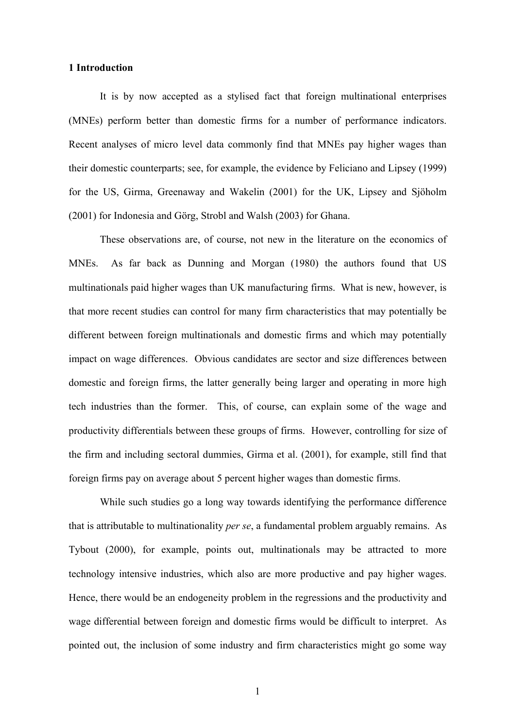#### **1 Introduction**

It is by now accepted as a stylised fact that foreign multinational enterprises (MNEs) perform better than domestic firms for a number of performance indicators. Recent analyses of micro level data commonly find that MNEs pay higher wages than their domestic counterparts; see, for example, the evidence by Feliciano and Lipsey (1999) for the US, Girma, Greenaway and Wakelin (2001) for the UK, Lipsey and Sjöholm (2001) for Indonesia and Görg, Strobl and Walsh (2003) for Ghana.

These observations are, of course, not new in the literature on the economics of MNEs. As far back as Dunning and Morgan (1980) the authors found that US multinationals paid higher wages than UK manufacturing firms. What is new, however, is that more recent studies can control for many firm characteristics that may potentially be different between foreign multinationals and domestic firms and which may potentially impact on wage differences. Obvious candidates are sector and size differences between domestic and foreign firms, the latter generally being larger and operating in more high tech industries than the former. This, of course, can explain some of the wage and productivity differentials between these groups of firms. However, controlling for size of the firm and including sectoral dummies, Girma et al. (2001), for example, still find that foreign firms pay on average about 5 percent higher wages than domestic firms.

While such studies go a long way towards identifying the performance difference that is attributable to multinationality *per se*, a fundamental problem arguably remains. As Tybout (2000), for example, points out, multinationals may be attracted to more technology intensive industries, which also are more productive and pay higher wages. Hence, there would be an endogeneity problem in the regressions and the productivity and wage differential between foreign and domestic firms would be difficult to interpret. As pointed out, the inclusion of some industry and firm characteristics might go some way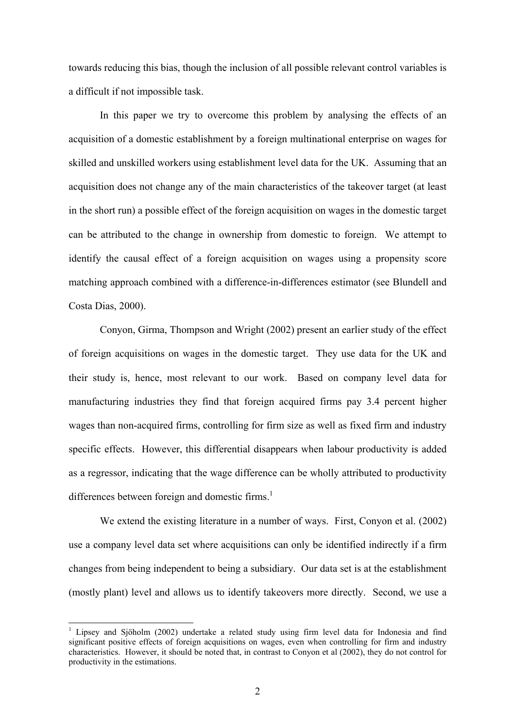towards reducing this bias, though the inclusion of all possible relevant control variables is a difficult if not impossible task.

In this paper we try to overcome this problem by analysing the effects of an acquisition of a domestic establishment by a foreign multinational enterprise on wages for skilled and unskilled workers using establishment level data for the UK. Assuming that an acquisition does not change any of the main characteristics of the takeover target (at least in the short run) a possible effect of the foreign acquisition on wages in the domestic target can be attributed to the change in ownership from domestic to foreign. We attempt to identify the causal effect of a foreign acquisition on wages using a propensity score matching approach combined with a difference-in-differences estimator (see Blundell and Costa Dias, 2000).

Conyon, Girma, Thompson and Wright (2002) present an earlier study of the effect of foreign acquisitions on wages in the domestic target. They use data for the UK and their study is, hence, most relevant to our work. Based on company level data for manufacturing industries they find that foreign acquired firms pay 3.4 percent higher wages than non-acquired firms, controlling for firm size as well as fixed firm and industry specific effects. However, this differential disappears when labour productivity is added as a regressor, indicating that the wage difference can be wholly attributed to productivity differences between foreign and domestic firms.<sup>1</sup>

We extend the existing literature in a number of ways. First, Conyon et al. (2002) use a company level data set where acquisitions can only be identified indirectly if a firm changes from being independent to being a subsidiary. Our data set is at the establishment (mostly plant) level and allows us to identify takeovers more directly. Second, we use a

l

<span id="page-4-0"></span><sup>&</sup>lt;sup>1</sup> Lipsey and Sjöholm (2002) undertake a related study using firm level data for Indonesia and find significant positive effects of foreign acquisitions on wages, even when controlling for firm and industry characteristics. However, it should be noted that, in contrast to Conyon et al (2002), they do not control for productivity in the estimations.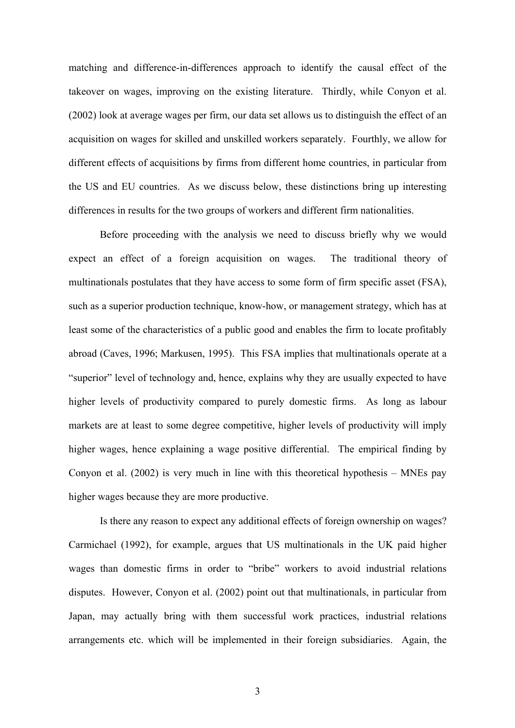matching and difference-in-differences approach to identify the causal effect of the takeover on wages, improving on the existing literature. Thirdly, while Conyon et al. (2002) look at average wages per firm, our data set allows us to distinguish the effect of an acquisition on wages for skilled and unskilled workers separately. Fourthly, we allow for different effects of acquisitions by firms from different home countries, in particular from the US and EU countries. As we discuss below, these distinctions bring up interesting differences in results for the two groups of workers and different firm nationalities.

Before proceeding with the analysis we need to discuss briefly why we would expect an effect of a foreign acquisition on wages. The traditional theory of multinationals postulates that they have access to some form of firm specific asset (FSA), such as a superior production technique, know-how, or management strategy, which has at least some of the characteristics of a public good and enables the firm to locate profitably abroad (Caves, 1996; Markusen, 1995). This FSA implies that multinationals operate at a "superior" level of technology and, hence, explains why they are usually expected to have higher levels of productivity compared to purely domestic firms. As long as labour markets are at least to some degree competitive, higher levels of productivity will imply higher wages, hence explaining a wage positive differential. The empirical finding by Conyon et al. (2002) is very much in line with this theoretical hypothesis – MNEs pay higher wages because they are more productive.

Is there any reason to expect any additional effects of foreign ownership on wages? Carmichael (1992), for example, argues that US multinationals in the UK paid higher wages than domestic firms in order to "bribe" workers to avoid industrial relations disputes. However, Conyon et al. (2002) point out that multinationals, in particular from Japan, may actually bring with them successful work practices, industrial relations arrangements etc. which will be implemented in their foreign subsidiaries. Again, the

3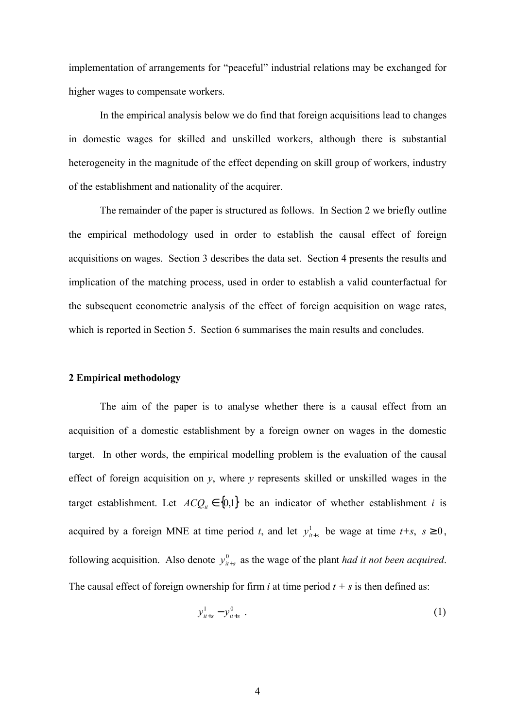implementation of arrangements for "peaceful" industrial relations may be exchanged for higher wages to compensate workers.

In the empirical analysis below we do find that foreign acquisitions lead to changes in domestic wages for skilled and unskilled workers, although there is substantial heterogeneity in the magnitude of the effect depending on skill group of workers, industry of the establishment and nationality of the acquirer.

The remainder of the paper is structured as follows. In Section 2 we briefly outline the empirical methodology used in order to establish the causal effect of foreign acquisitions on wages. Section 3 describes the data set. Section 4 presents the results and implication of the matching process, used in order to establish a valid counterfactual for the subsequent econometric analysis of the effect of foreign acquisition on wage rates, which is reported in Section 5. Section 6 summarises the main results and concludes.

#### **2 Empirical methodology**

The aim of the paper is to analyse whether there is a causal effect from an acquisition of a domestic establishment by a foreign owner on wages in the domestic target. In other words, the empirical modelling problem is the evaluation of the causal effect of foreign acquisition on *y*, where *y* represents skilled or unskilled wages in the target establishment. Let  $ACQ_i \in \{0,1\}$  be an indicator of whether establishment *i* is acquired by a foreign MNE at time period *t*, and let  $y_{i+s}^1$  be wage at time *t+s*,  $s \ge 0$ , following acquisition. Also denote  $y_{u+s}^0$  as the wage of the plant *had it not been acquired*. The causal effect of foreign ownership for firm *i* at time period  $t + s$  is then defined as:

$$
y_{it+s}^1 - y_{it+s}^0 \t\t(1)
$$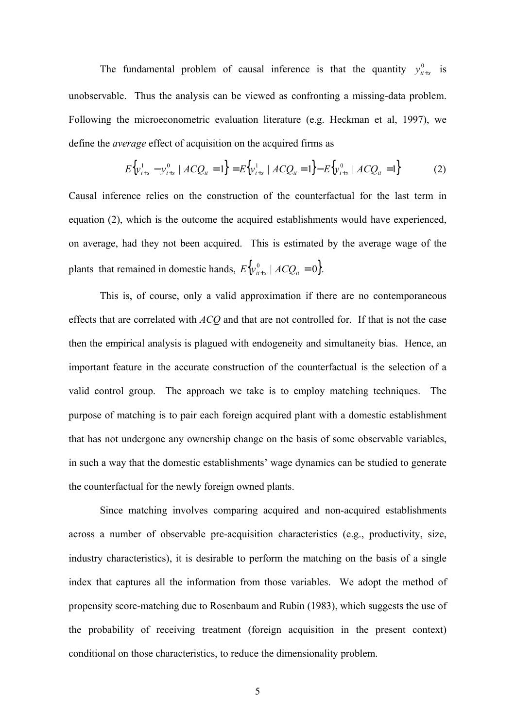The fundamental problem of causal inference is that the quantity  $y_{it+s}^0$  is unobservable. Thus the analysis can be viewed as confronting a missing-data problem. Following the microeconometric evaluation literature (e.g. Heckman et al, 1997), we define the *average* effect of acquisition on the acquired firms as

$$
E\{\mathbf{y}_{t+s}^1 - \mathbf{y}_{t+s}^0 \mid AC\mathbf{Q}_{it} = 1\} = E\{\mathbf{y}_{t+s}^1 \mid AC\mathbf{Q}_{it} = 1\} - E\{\mathbf{y}_{t+s}^0 \mid AC\mathbf{Q}_{it} = 1\}
$$
(2)

Causal inference relies on the construction of the counterfactual for the last term in equation (2), which is the outcome the acquired establishments would have experienced, on average, had they not been acquired. This is estimated by the average wage of the plants that remained in domestic hands,  $E\left\{y_{i+s}^0 \mid ACQ_i = 0\right\}$ .

This is, of course, only a valid approximation if there are no contemporaneous effects that are correlated with *ACQ* and that are not controlled for. If that is not the case then the empirical analysis is plagued with endogeneity and simultaneity bias. Hence, an important feature in the accurate construction of the counterfactual is the selection of a valid control group. The approach we take is to employ matching techniques. The purpose of matching is to pair each foreign acquired plant with a domestic establishment that has not undergone any ownership change on the basis of some observable variables, in such a way that the domestic establishments' wage dynamics can be studied to generate the counterfactual for the newly foreign owned plants.

Since matching involves comparing acquired and non-acquired establishments across a number of observable pre-acquisition characteristics (e.g., productivity, size, industry characteristics), it is desirable to perform the matching on the basis of a single index that captures all the information from those variables. We adopt the method of propensity score-matching due to Rosenbaum and Rubin (1983), which suggests the use of the probability of receiving treatment (foreign acquisition in the present context) conditional on those characteristics, to reduce the dimensionality problem.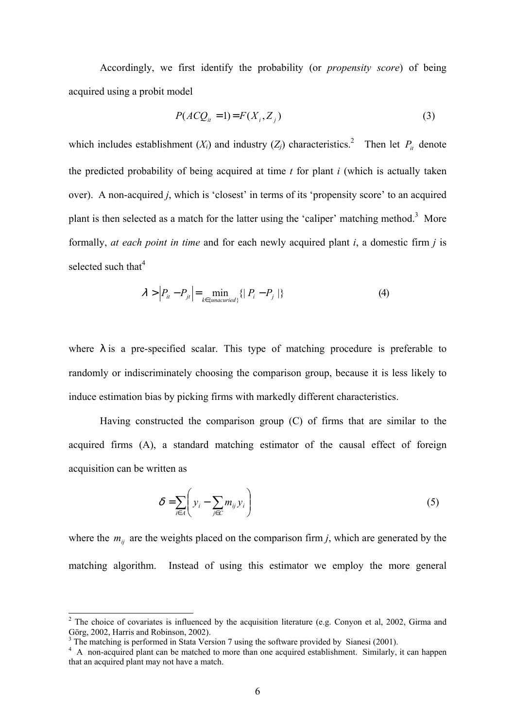Accordingly, we first identify the probability (or *propensity score*) of being acquired using a probit model

$$
P(ACQu = 1) = F(Xi, Zj)
$$
\n(3)

which includes establishment  $(X_i)$  and industry  $(Z_j)$  characteristics.<sup>2</sup> Then let  $P_i$  denote the predicted probability of being acquired at time *t* for plant *i* (which is actually taken over). A non-acquired *j*, which is 'closest' in terms of its 'propensity score' to an acquired plant is then selected as a match for the latter using the 'caliper' matching method.<sup>3</sup> More formally, *at each point in time* and for each newly acquired plant *i*, a domestic firm *j* is selected such that $4$ 

$$
\lambda > \left| P_{ii} - P_{ji} \right| = \min_{k \in \{unacuried\}} \left\{ \left| P_i - P_j \right| \right\} \tag{4}
$$

where  $\lambda$  is a pre-specified scalar. This type of matching procedure is preferable to randomly or indiscriminately choosing the comparison group, because it is less likely to induce estimation bias by picking firms with markedly different characteristics.

Having constructed the comparison group (C) of firms that are similar to the acquired firms (A), a standard matching estimator of the causal effect of foreign acquisition can be written as

$$
\delta = \sum_{i \in A} \left( y_i - \sum_{j \in C} m_{ij} y_i \right) \tag{5}
$$

where the  $m_{ij}$  are the weights placed on the comparison firm *j*, which are generated by the matching algorithm. Instead of using this estimator we employ the more general

l

<span id="page-8-0"></span> $2$  The choice of covariates is influenced by the acquisition literature (e.g. Conyon et al, 2002, Girma and Görg, 2002, Harris and Robinson, 2002).

<span id="page-8-1"></span>The matching is performed in Stata Version 7 using the software provided by Sianesi (2001).

<span id="page-8-2"></span><sup>&</sup>lt;sup>4</sup> A non-acquired plant can be matched to more than one acquired establishment. Similarly, it can happen that an acquired plant may not have a match.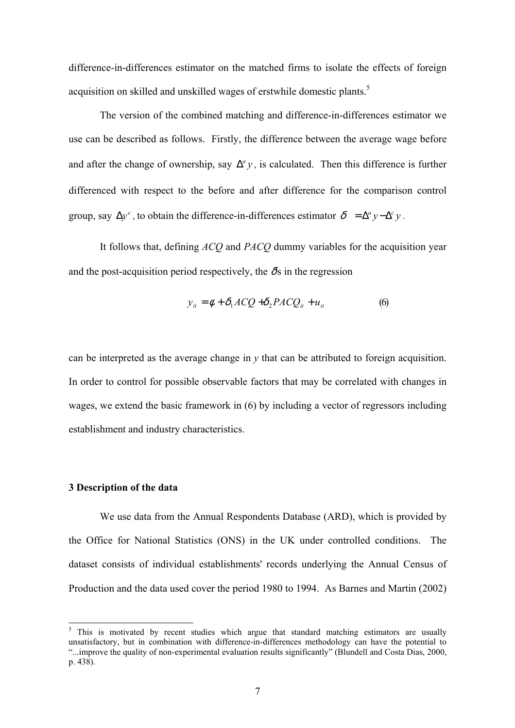difference-in-differences estimator on the matched firms to isolate the effects of foreign acquisition on skilled and unskilled wages of erstwhile domestic plants.<sup>5</sup>

The version of the combined matching and difference-in-differences estimator we use can be described as follows. Firstly, the difference between the average wage before and after the change of ownership, say  $\Delta^a y$ , is calculated. Then this difference is further differenced with respect to the before and after difference for the comparison control group, say  $\Delta y^c$ , to obtain the difference-in-differences estimator  $\delta = \Delta^a y - \Delta^c y$ .

It follows that, defining *ACQ* and *PACQ* dummy variables for the acquisition year and the post-acquisition period respectively, the  $\delta s$  in the regression

$$
y_{it} = \phi + \delta_1 A C Q + \delta_2 P A C Q_{it} + u_{it}
$$
 (6)

can be interpreted as the average change in *y* that can be attributed to foreign acquisition. In order to control for possible observable factors that may be correlated with changes in wages, we extend the basic framework in (6) by including a vector of regressors including establishment and industry characteristics.

#### **3 Description of the data**

l

We use data from the Annual Respondents Database (ARD), which is provided by the Office for National Statistics (ONS) in the UK under controlled conditions. The dataset consists of individual establishments' records underlying the Annual Census of Production and the data used cover the period 1980 to 1994. As Barnes and Martin (2002)

<span id="page-9-0"></span>This is motivated by recent studies which argue that standard matching estimators are usually unsatisfactory, but in combination with difference-in-differences methodology can have the potential to "...improve the quality of non-experimental evaluation results significantly" (Blundell and Costa Dias, 2000, p. 438).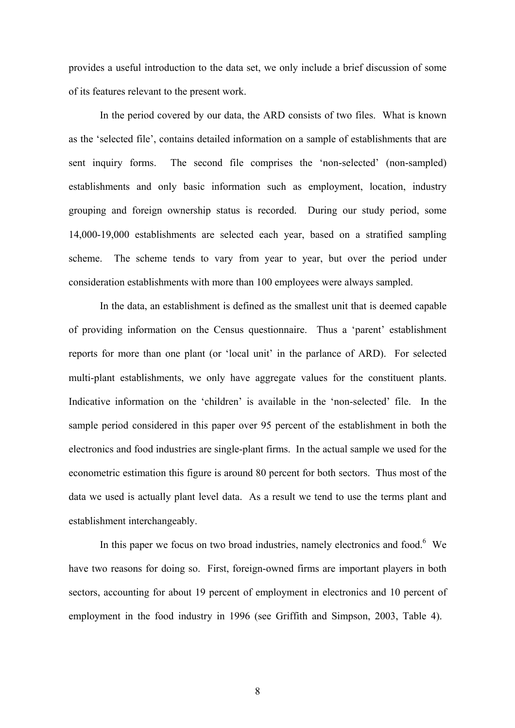<span id="page-10-0"></span>provides a useful introduction to the data set, we only include a brief discussion of some of its features relevant to the present work.

In the period covered by our data, the ARD consists of two files. What is known as the 'selected file', contains detailed information on a sample of establishments that are sent inquiry forms. The second file comprises the 'non-selected' (non-sampled) establishments and only basic information such as employment, location, industry grouping and foreign ownership status is recorded. During our study period, some 14,000-19,000 establishments are selected each year, based on a stratified sampling scheme. The scheme tends to vary from year to year, but over the period under consideration establishments with more than 100 employees were always sampled.

In the data, an establishment is defined as the smallest unit that is deemed capable of providing information on the Census questionnaire. Thus a 'parent' establishment reports for more than one plant (or 'local unit' in the parlance of ARD). For selected multi-plant establishments, we only have aggregate values for the constituent plants. Indicative information on the 'children' is available in the 'non-selected' file. In the sample period considered in this paper over 95 percent of the establishment in both the electronics and food industries are single-plant firms. In the actual sample we used for the econometric estimation this figure is around 80 percent for both sectors. Thus most of the data we used is actually plant level data. As a result we tend to use the terms plant and establishment interchangeably.

In this paper we focus on two broad industries, namely electronics and food. $6$  We have two reasons for doing so. First, foreign-owned firms are important players in both sectors, accounting for about 19 percent of employment in electronics and 10 percent of employment in the food industry in 1996 (see Griffith and Simpson, 2003, Table 4).

8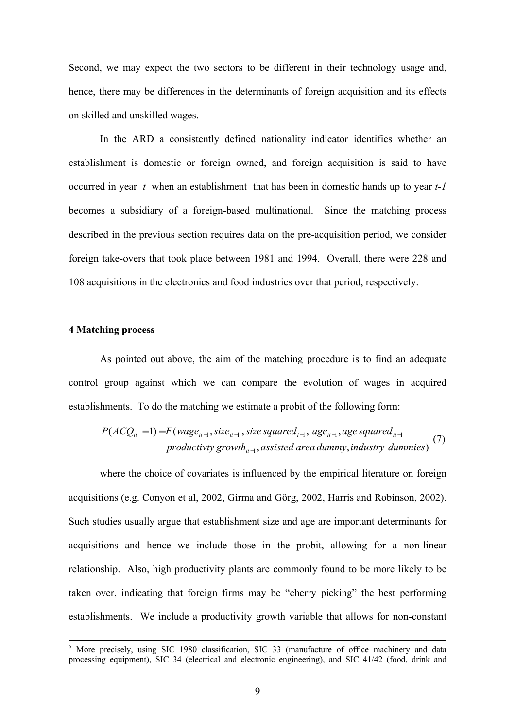Second, we may expect the two sectors to be different in their technology usage and, hence, there may be differences in the determinants of foreign acquisition and its effects on skilled and unskilled wages.

In the ARD a consistently defined nationality indicator identifies whether an establishment is domestic or foreign owned, and foreign acquisition is said to have occurred in year *t* when an establishment that has been in domestic hands up to year *t-1* becomes a subsidiary of a foreign-based multinational. Since the matching process described in the previous section requires data on the pre-acquisition period, we consider foreign take-overs that took place between 1981 and 1994. Overall, there were 228 and 108 acquisitions in the electronics and food industries over that period, respectively.

#### **4 Matching process**

As pointed out above, the aim of the matching procedure is to find an adequate control group against which we can compare the evolution of wages in acquired establishments. To do the matching we estimate a probit of the following form:

$$
P(ACQ_{it} = 1) = F(wage_{it-1}, size_{it-1}, size squared_{t-1}, age_{it-1}, age squared_{it-1}
$$
  
productivity growth<sub>it-1</sub>, assisted area dummy, industry dummies) (7)

where the choice of covariates is influenced by the empirical literature on foreign acquisitions (e.g. Conyon et al, 2002, Girma and Görg, 2002, Harris and Robinson, 2002). Such studies usually argue that establishment size and age are important determinants for acquisitions and hence we include those in the probit, allowing for a non-linear relationship. Also, high productivity plants are commonly found to be more likely to be taken over, indicating that foreign firms may be "cherry picking" the best performing establishments. We include a productivity growth variable that allows for non-constant

<sup>&</sup>lt;sup>6</sup> More precisely, using SIC 1980 classification, SIC 33 (manufacture of office machinery and data processing equipment), SIC 34 (electrical and electronic engineering), and SIC 41/42 (food, drink and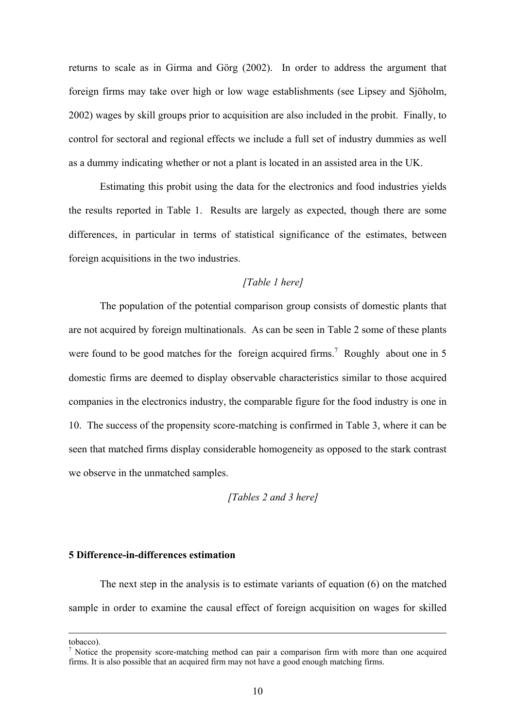returns to scale as in Girma and Görg (2002). In order to address the argument that foreign firms may take over high or low wage establishments (see Lipsey and Sjöholm, 2002) wages by skill groups prior to acquisition are also included in the probit. Finally, to control for sectoral and regional effects we include a full set of industry dummies as well as a dummy indicating whether or not a plant is located in an assisted area in the UK.

Estimating this probit using the data for the electronics and food industries yields the results reported in Table 1. Results are largely as expected, though there are some differences, in particular in terms of statistical significance of the estimates, between foreign acquisitions in the two industries.

#### *[Table 1 here]*

The population of the potential comparison group consists of domestic plants that are not acquired by foreign multinationals. As can be seen in Table 2 some of these plants were found to be good matches for the foreign acquired firms.<sup>[7](#page-12-0)</sup> Roughly about one in 5 domestic firms are deemed to display observable characteristics similar to those acquired companies in the electronics industry, the comparable figure for the food industry is one in 10. The success of the propensity score-matching is confirmed in Table 3, where it can be seen that matched firms display considerable homogeneity as opposed to the stark contrast we observe in the unmatched samples.

*[Tables 2 and 3 here]*

#### **5 Difference-in-differences estimation**

The next step in the analysis is to estimate variants of equation (6) on the matched sample in order to examine the causal effect of foreign acquisition on wages for skilled

tobacco).

1

<span id="page-12-0"></span>Notice the propensity score-matching method can pair a comparison firm with more than one acquired firms. It is also possible that an acquired firm may not have a good enough matching firms.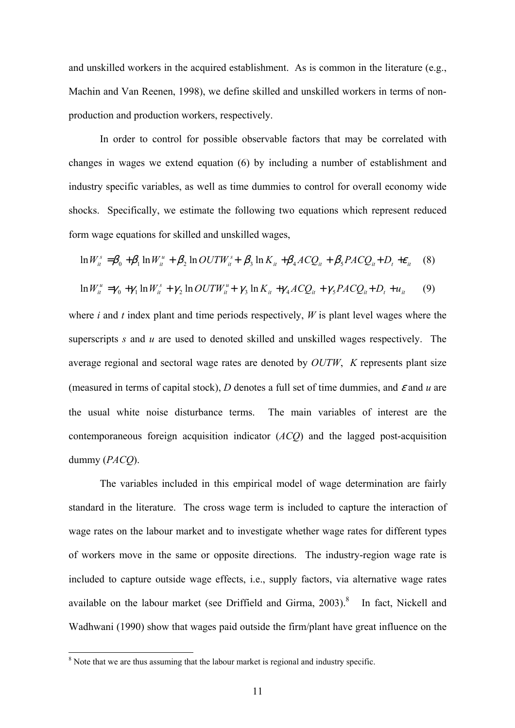and unskilled workers in the acquired establishment. As is common in the literature (e.g., Machin and Van Reenen, 1998), we define skilled and unskilled workers in terms of nonproduction and production workers, respectively.

In order to control for possible observable factors that may be correlated with changes in wages we extend equation (6) by including a number of establishment and industry specific variables, as well as time dummies to control for overall economy wide shocks. Specifically, we estimate the following two equations which represent reduced form wage equations for skilled and unskilled wages,

$$
\ln W_{it}^s = \beta_0 + \beta_1 \ln W_{it}^u + \beta_2 \ln OUTW_{it}^s + \beta_3 \ln K_{it} + \beta_4 ACQ_{it} + \beta_5 PACQ_{it} + D_t + \varepsilon_{it} \quad (8)
$$

$$
\ln W_{it}^{u} = \gamma_0 + \gamma_1 \ln W_{it}^{s} + \gamma_2 \ln OUTW_{it}^{u} + \gamma_3 \ln K_{it} + \gamma_4 ACQ_{it} + \gamma_5 PACQ_{it} + D_t + u_{it} \tag{9}
$$

where *i* and *t* index plant and time periods respectively, *W* is plant level wages where the superscripts *s* and *u* are used to denoted skilled and unskilled wages respectively. The average regional and sectoral wage rates are denoted by *OUTW*, *K* represents plant size (measured in terms of capital stock),  $D$  denotes a full set of time dummies, and  $\varepsilon$  and  $u$  are the usual white noise disturbance terms. The main variables of interest are the contemporaneous foreign acquisition indicator (*ACQ*) and the lagged post-acquisition dummy (*PACQ*).

The variables included in this empirical model of wage determination are fairly standard in the literature. The cross wage term is included to capture the interaction of wage rates on the labour market and to investigate whether wage rates for different types of workers move in the same or opposite directions. The industry-region wage rate is included to capture outside wage effects, i.e., supply factors, via alternative wage rates available on the labour market (see Driffield and Girma,  $2003$ ).<sup>[8](#page-13-0)</sup> In fact, Nickell and Wadhwani (1990) show that wages paid outside the firm/plant have great influence on the

l

<span id="page-13-0"></span> $8$  Note that we are thus assuming that the labour market is regional and industry specific.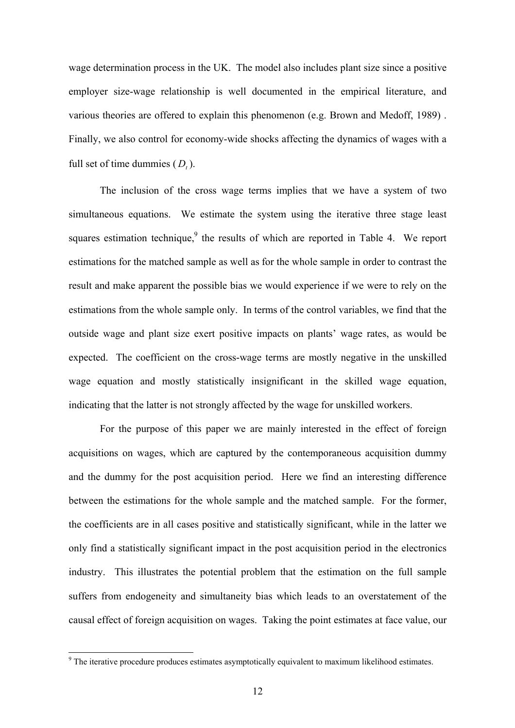wage determination process in the UK. The model also includes plant size since a positive employer size-wage relationship is well documented in the empirical literature, and various theories are offered to explain this phenomenon (e.g. Brown and Medoff, 1989) . Finally, we also control for economy-wide shocks affecting the dynamics of wages with a full set of time dummies  $(D_t)$ .

The inclusion of the cross wage terms implies that we have a system of two simultaneous equations. We estimate the system using the iterative three stage least squares estimation technique, $9$  the results of which are reported in Table 4. We report estimations for the matched sample as well as for the whole sample in order to contrast the result and make apparent the possible bias we would experience if we were to rely on the estimations from the whole sample only. In terms of the control variables, we find that the outside wage and plant size exert positive impacts on plants' wage rates, as would be expected. The coefficient on the cross-wage terms are mostly negative in the unskilled wage equation and mostly statistically insignificant in the skilled wage equation, indicating that the latter is not strongly affected by the wage for unskilled workers.

For the purpose of this paper we are mainly interested in the effect of foreign acquisitions on wages, which are captured by the contemporaneous acquisition dummy and the dummy for the post acquisition period. Here we find an interesting difference between the estimations for the whole sample and the matched sample. For the former, the coefficients are in all cases positive and statistically significant, while in the latter we only find a statistically significant impact in the post acquisition period in the electronics industry. This illustrates the potential problem that the estimation on the full sample suffers from endogeneity and simultaneity bias which leads to an overstatement of the causal effect of foreign acquisition on wages. Taking the point estimates at face value, our

l

<span id="page-14-0"></span> $9<sup>9</sup>$  The iterative procedure produces estimates asymptotically equivalent to maximum likelihood estimates.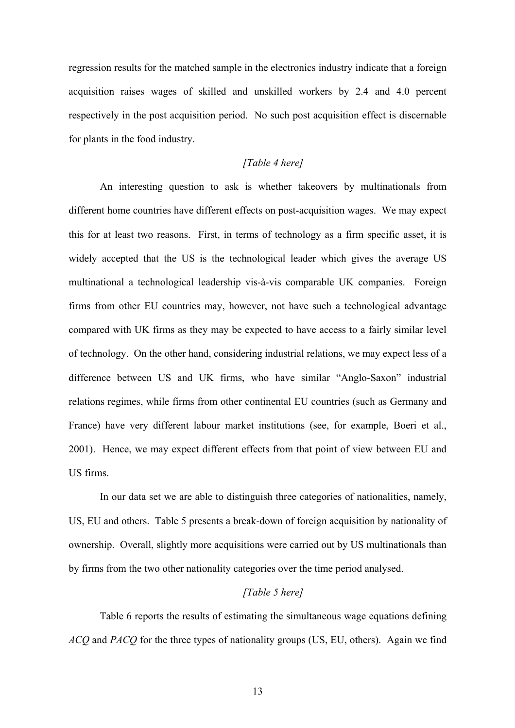regression results for the matched sample in the electronics industry indicate that a foreign acquisition raises wages of skilled and unskilled workers by 2.4 and 4.0 percent respectively in the post acquisition period. No such post acquisition effect is discernable for plants in the food industry.

#### *[Table 4 here]*

An interesting question to ask is whether takeovers by multinationals from different home countries have different effects on post-acquisition wages. We may expect this for at least two reasons. First, in terms of technology as a firm specific asset, it is widely accepted that the US is the technological leader which gives the average US multinational a technological leadership vis-à-vis comparable UK companies. Foreign firms from other EU countries may, however, not have such a technological advantage compared with UK firms as they may be expected to have access to a fairly similar level of technology. On the other hand, considering industrial relations, we may expect less of a difference between US and UK firms, who have similar "Anglo-Saxon" industrial relations regimes, while firms from other continental EU countries (such as Germany and France) have very different labour market institutions (see, for example, Boeri et al., 2001). Hence, we may expect different effects from that point of view between EU and US firms.

In our data set we are able to distinguish three categories of nationalities, namely, US, EU and others. Table 5 presents a break-down of foreign acquisition by nationality of ownership. Overall, slightly more acquisitions were carried out by US multinationals than by firms from the two other nationality categories over the time period analysed.

#### *[Table 5 here]*

Table 6 reports the results of estimating the simultaneous wage equations defining *ACQ* and *PACQ* for the three types of nationality groups (US, EU, others). Again we find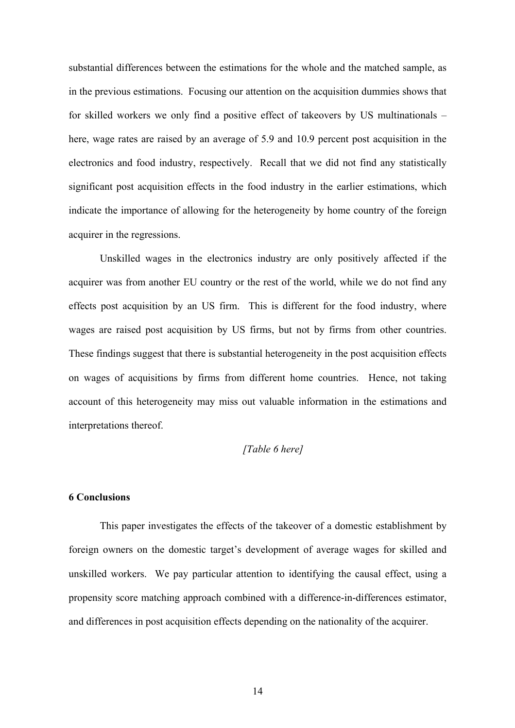substantial differences between the estimations for the whole and the matched sample, as in the previous estimations. Focusing our attention on the acquisition dummies shows that for skilled workers we only find a positive effect of takeovers by US multinationals – here, wage rates are raised by an average of 5.9 and 10.9 percent post acquisition in the electronics and food industry, respectively. Recall that we did not find any statistically significant post acquisition effects in the food industry in the earlier estimations, which indicate the importance of allowing for the heterogeneity by home country of the foreign acquirer in the regressions.

Unskilled wages in the electronics industry are only positively affected if the acquirer was from another EU country or the rest of the world, while we do not find any effects post acquisition by an US firm. This is different for the food industry, where wages are raised post acquisition by US firms, but not by firms from other countries. These findings suggest that there is substantial heterogeneity in the post acquisition effects on wages of acquisitions by firms from different home countries. Hence, not taking account of this heterogeneity may miss out valuable information in the estimations and interpretations thereof.

#### *[Table 6 here]*

#### **6 Conclusions**

This paper investigates the effects of the takeover of a domestic establishment by foreign owners on the domestic target's development of average wages for skilled and unskilled workers. We pay particular attention to identifying the causal effect, using a propensity score matching approach combined with a difference-in-differences estimator, and differences in post acquisition effects depending on the nationality of the acquirer.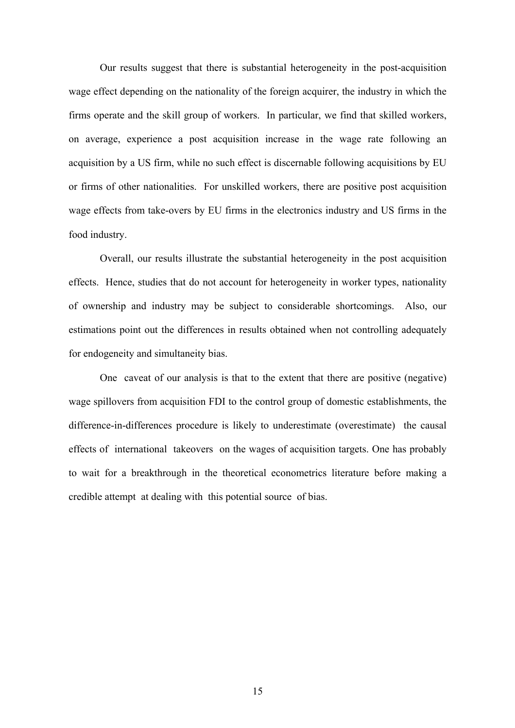Our results suggest that there is substantial heterogeneity in the post-acquisition wage effect depending on the nationality of the foreign acquirer, the industry in which the firms operate and the skill group of workers. In particular, we find that skilled workers, on average, experience a post acquisition increase in the wage rate following an acquisition by a US firm, while no such effect is discernable following acquisitions by EU or firms of other nationalities. For unskilled workers, there are positive post acquisition wage effects from take-overs by EU firms in the electronics industry and US firms in the food industry.

Overall, our results illustrate the substantial heterogeneity in the post acquisition effects. Hence, studies that do not account for heterogeneity in worker types, nationality of ownership and industry may be subject to considerable shortcomings. Also, our estimations point out the differences in results obtained when not controlling adequately for endogeneity and simultaneity bias.

One caveat of our analysis is that to the extent that there are positive (negative) wage spillovers from acquisition FDI to the control group of domestic establishments, the difference-in-differences procedure is likely to underestimate (overestimate) the causal effects of international takeovers on the wages of acquisition targets. One has probably to wait for a breakthrough in the theoretical econometrics literature before making a credible attempt at dealing with this potential source of bias.

15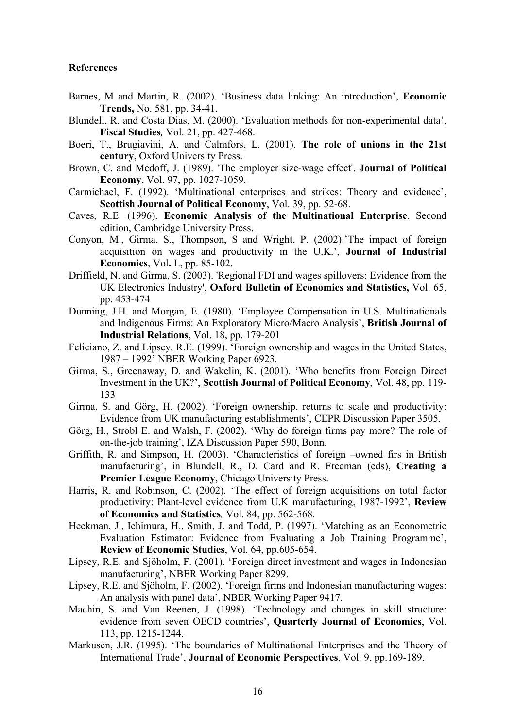#### **References**

- Barnes, M and Martin, R. (2002). 'Business data linking: An introduction', **Economic Trends,** No. 581, pp. 34-41.
- Blundell, R. and Costa Dias, M. (2000). 'Evaluation methods for non-experimental data', **Fiscal Studies***,* Vol. 21, pp. 427-468.
- Boeri, T., Brugiavini, A. and Calmfors, L. (2001). **The role of unions in the 21st century**, Oxford University Press.
- Brown, C. and Medoff, J. (1989). 'The employer size-wage effect'. **Journal of Political Economy**, Vol. 97, pp. 1027-1059.
- Carmichael, F. (1992). 'Multinational enterprises and strikes: Theory and evidence', **Scottish Journal of Political Economy**, Vol. 39, pp. 52-68.
- Caves, R.E. (1996). **Economic Analysis of the Multinational Enterprise**, Second edition, Cambridge University Press.
- Conyon, M., Girma, S., Thompson, S and Wright, P. (2002).'The impact of foreign acquisition on wages and productivity in the U.K.', **Journal of Industrial Economics**, Vol**.** L, pp. 85-102.
- Driffield, N. and Girma, S. (2003). 'Regional FDI and wages spillovers: Evidence from the UK Electronics Industry', **Oxford Bulletin of Economics and Statistics,** Vol. 65, pp. 453-474
- Dunning, J.H. and Morgan, E. (1980). 'Employee Compensation in U.S. Multinationals and Indigenous Firms: An Exploratory Micro/Macro Analysis', **British Journal of Industrial Relations**, Vol. 18, pp. 179-201
- Feliciano, Z. and Lipsey, R.E. (1999). 'Foreign ownership and wages in the United States, 1987 – 1992' NBER Working Paper 6923.
- Girma, S., Greenaway, D. and Wakelin, K. (2001). 'Who benefits from Foreign Direct Investment in the UK?', **Scottish Journal of Political Economy**, Vol. 48, pp. 119- 133
- Girma, S. and Görg, H. (2002). 'Foreign ownership, returns to scale and productivity: Evidence from UK manufacturing establishments', CEPR Discussion Paper 3505.
- Görg, H., Strobl E. and Walsh, F. (2002). 'Why do foreign firms pay more? The role of on-the-job training', IZA Discussion Paper 590, Bonn.
- Griffith, R. and Simpson, H. (2003). 'Characteristics of foreign –owned firs in British manufacturing', in Blundell, R., D. Card and R. Freeman (eds), **Creating a Premier League Economy**, Chicago University Press.
- Harris, R. and Robinson, C. (2002). 'The effect of foreign acquisitions on total factor productivity: Plant-level evidence from U.K manufacturing, 1987-1992', **Review of Economics and Statistics***,* Vol. 84, pp. 562-568.
- Heckman, J., Ichimura, H., Smith, J. and Todd, P. (1997). 'Matching as an Econometric Evaluation Estimator: Evidence from Evaluating a Job Training Programme', **Review of Economic Studies**, Vol. 64, pp.605-654.
- Lipsey, R.E. and Sjöholm, F. (2001). 'Foreign direct investment and wages in Indonesian manufacturing', NBER Working Paper 8299.
- Lipsey, R.E. and Sjöholm, F. (2002). 'Foreign firms and Indonesian manufacturing wages: An analysis with panel data', NBER Working Paper 9417.
- Machin, S. and Van Reenen, J. (1998). 'Technology and changes in skill structure: evidence from seven OECD countries', **Quarterly Journal of Economics**, Vol. 113, pp. 1215-1244.
- Markusen, J.R. (1995). 'The boundaries of Multinational Enterprises and the Theory of International Trade', **Journal of Economic Perspectives**, Vol. 9, pp.169-189.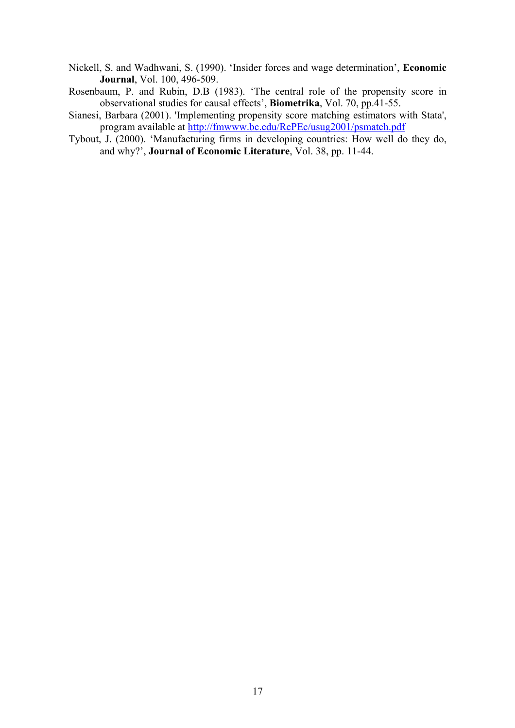- Nickell, S. and Wadhwani, S. (1990). 'Insider forces and wage determination', **Economic Journal**, Vol. 100, 496-509.
- Rosenbaum, P. and Rubin, D.B (1983). 'The central role of the propensity score in observational studies for causal effects', **Biometrika**, Vol. 70, pp.41-55.
- Sianesi, Barbara (2001). 'Implementing propensity score matching estimators with Stata', program available at<http://fmwww.bc.edu/RePEc/usug2001/psmatch.pdf>
- Tybout, J. (2000). 'Manufacturing firms in developing countries: How well do they do, and why?', **Journal of Economic Literature**, Vol. 38, pp. 11-44.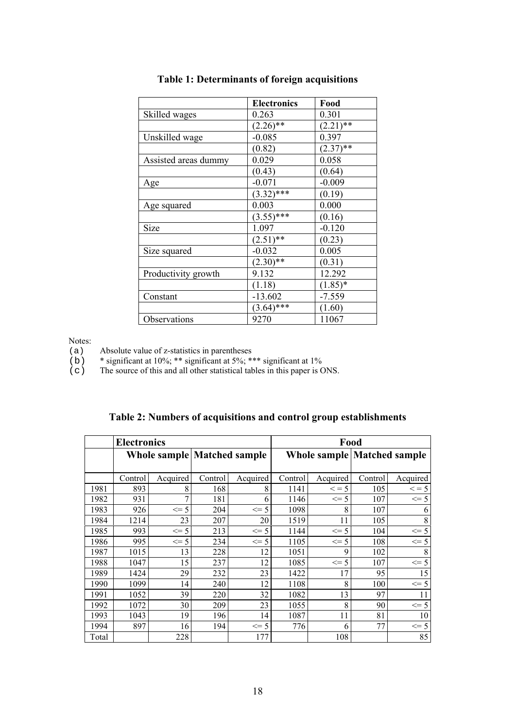|                      | <b>Electronics</b> | Food        |
|----------------------|--------------------|-------------|
| Skilled wages        | 0.263              | 0.301       |
|                      | $(2.26)$ **        | $(2.21)$ ** |
| Unskilled wage       | $-0.085$           | 0.397       |
|                      | (0.82)             | $(2.37)$ ** |
| Assisted areas dummy | 0.029              | 0.058       |
|                      | (0.43)             | (0.64)      |
| Age                  | $-0.071$           | $-0.009$    |
|                      | $(3.32)$ ***       | (0.19)      |
| Age squared          | 0.003              | 0.000       |
|                      | $(3.55)$ ***       | (0.16)      |
| Size                 | 1.097              | $-0.120$    |
|                      | $(2.51)$ **        | (0.23)      |
| Size squared         | $-0.032$           | 0.005       |
|                      | $(2.30)$ **        | (0.31)      |
| Productivity growth  | 9.132              | 12.292      |
|                      | (1.18)             | $(1.85)*$   |
| Constant             | $-13.602$          | $-7.559$    |
|                      | $(3.64)$ ***       | (1.60)      |
| Observations         | 9270               | 11067       |

#### **Table 1: Determinants of foreign acquisitions**

Notes:

(a) Absolute value of z-statistics in parentheses

(b)  $*$  significant at 10%; \*\* significant at 5%; \*\*\* significant at 1%

(c) The source of this and all other statistical tables in this paper is ONS.

| Table 2: Numbers of acquisitions and control group establishments |  |
|-------------------------------------------------------------------|--|
|-------------------------------------------------------------------|--|

|       | <b>Electronics</b> |          |                                    |          | Food    |            |                                    |            |
|-------|--------------------|----------|------------------------------------|----------|---------|------------|------------------------------------|------------|
|       |                    |          | <b>Whole sample Matched sample</b> |          |         |            | <b>Whole sample Matched sample</b> |            |
|       | Control            | Acquired | Control                            | Acquired | Control | Acquired   | Control                            | Acquired   |
| 1981  | 893                | 8        | 168                                | 8        | 1141    | $\leq$ = 5 | 105                                | $\leq$ = 5 |
| 1982  | 931                | 7        | 181                                | 6        | 1146    | $\leq$ 5   | 107                                | $\leq$ 5   |
| 1983  | 926                | $\leq$ 5 | 204                                | $\leq$ 5 | 1098    | 8          | 107                                | 6          |
| 1984  | 1214               | 23       | 207                                | 20       | 1519    | 11         | 105                                | 8          |
| 1985  | 993                | $\leq$ 5 | 213                                | $\leq$ 5 | 1144    | $\leq$ 5   | 104                                | $\leq$ 5   |
| 1986  | 995                | $\leq$ 5 | 234                                | $\leq$ 5 | 1105    | $\leq$ 5   | 108                                | $\leq$ 5   |
| 1987  | 1015               | 13       | 228                                | 12       | 1051    | 9          | 102                                | 8          |
| 1988  | 1047               | 15       | 237                                | 12       | 1085    | $\leq$ 5   | 107                                | $\leq$ 5   |
| 1989  | 1424               | 29       | 232                                | 23       | 1422    | 17         | 95                                 | 15         |
| 1990  | 1099               | 14       | 240                                | 12       | 1108    | 8          | 100                                | $\leq$ 5   |
| 1991  | 1052               | 39       | 220                                | 32       | 1082    | 13         | 97                                 | 11         |
| 1992  | 1072               | 30       | 209                                | 23       | 1055    | 8          | 90                                 | $\leq$ 5   |
| 1993  | 1043               | 19       | 196                                | 14       | 1087    | 11         | 81                                 | 10         |
| 1994  | 897                | 16       | 194                                | $\leq$ 5 | 776     | 6          | 77                                 | $\leq$ = 5 |
| Total |                    | 228      |                                    | 177      |         | 108        |                                    | 85         |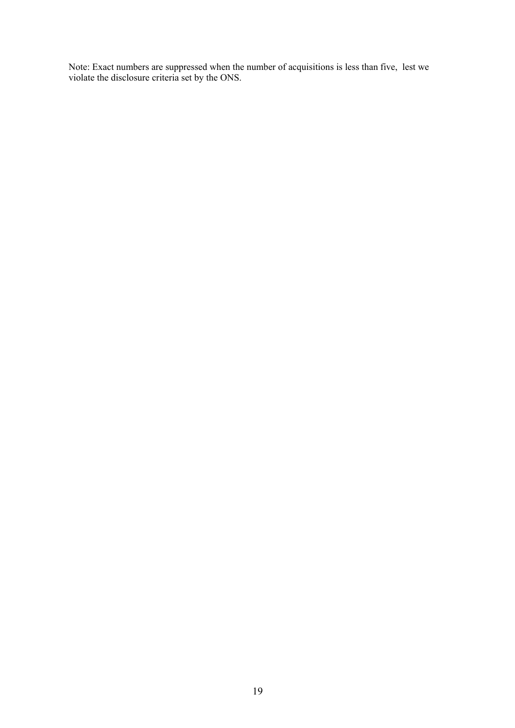Note: Exact numbers are suppressed when the number of acquisitions is less than five, lest we violate the disclosure criteria set by the ONS.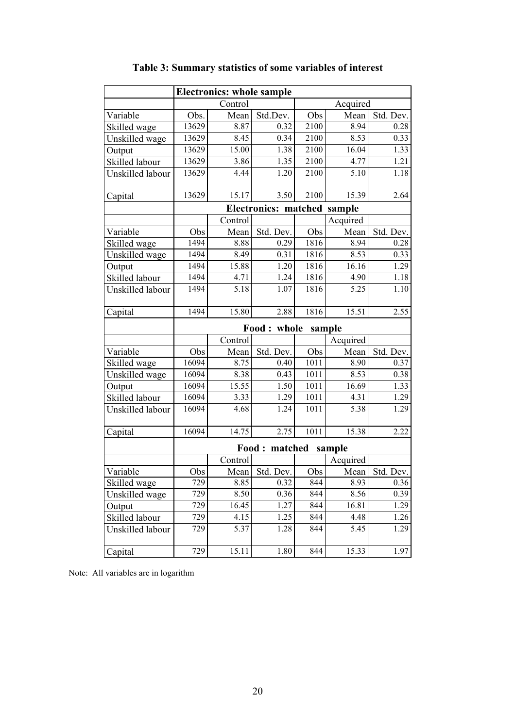| <b>Electronics: whole sample</b> |                     |                   |                             |      |          |                |
|----------------------------------|---------------------|-------------------|-----------------------------|------|----------|----------------|
|                                  | Acquired<br>Control |                   |                             |      |          |                |
| Variable                         | Obs.                | Mean              | Std.Dev.                    | Obs  | Mean     | Std. Dev.      |
| Skilled wage                     | 13629               | 8.87              | 0.32                        | 2100 | 8.94     | 0.28           |
| Unskilled wage                   | 13629               | $\overline{8.45}$ | 0.34                        | 2100 | 8.53     | 0.33           |
| Output                           | 13629               | 15.00             | 1.38                        | 2100 | 16.04    | 1.33           |
| Skilled labour                   | 13629               | 3.86              | 1.35                        | 2100 | 4.77     | 1.21           |
| Unskilled labour                 | 13629               | 4.44              | 1.20                        | 2100 | 5.10     | 1.18           |
| Capital                          | 13629               | 15.17             | 3.50                        | 2100 | 15.39    | 2.64           |
|                                  |                     |                   | Electronics: matched sample |      |          |                |
|                                  |                     | Control           |                             |      | Acquired |                |
| Variable                         | Obs                 | Mean              | Std. Dev.                   | Obs  | Mean     | Std. Dev.      |
| Skilled wage                     | 1494                | 8.88              | 0.29                        | 1816 | 8.94     | 0.28           |
| Unskilled wage                   | 1494                | 8.49              | 0.31                        | 1816 | 8.53     | 0.33           |
| Output                           | 1494                | 15.88             | 1.20                        | 1816 | 16.16    | 1.29           |
| Skilled labour                   | 1494                | 4.71              | 1.24                        | 1816 | 4.90     | 1.18           |
| Unskilled labour                 | 1494                | 5.18              | 1.07                        | 1816 | 5.25     | 1.10           |
| Capital                          | 1494                | 15.80             | 2.88                        | 1816 | 15.51    | 2.55           |
|                                  |                     |                   | Food: whole sample          |      |          |                |
|                                  |                     | Control           |                             |      | Acquired |                |
| Variable                         | Obs                 | Mean              | Std. Dev.                   | Obs  | Mean     | Std. Dev.      |
| Skilled wage                     | 16094               | 8.75              | 0.40                        | 1011 | 8.90     | 0.37           |
| Unskilled wage                   | 16094               | 8.38              | 0.43                        | 1011 | 8.53     | 0.38           |
| Output                           | 16094               | 15.55             | 1.50                        | 1011 | 16.69    | 1.33           |
| Skilled labour                   | 16094               | $\overline{3.33}$ | 1.29                        | 1011 | 4.31     | 1.29           |
| Unskilled labour                 | 16094               | 4.68              | 1.24                        | 1011 | 5.38     | 1.29           |
| Capital                          | 16094               | 14.75             | 2.75                        | 1011 | 15.38    | 2.22           |
|                                  |                     |                   | Food: matched sample        |      |          |                |
|                                  |                     | Control           |                             |      | Acquired |                |
| Variable                         | Obs                 |                   | Mean Std. Dev.              | Obs  |          | Mean Std. Dev. |
| Skilled wage                     | 729                 | 8.85              | 0.32                        | 844  | 8.93     | 0.36           |
| Unskilled wage                   | 729                 | 8.50              | 0.36                        | 844  | 8.56     | 0.39           |
| Output                           | 729                 | 16.45             | 1.27                        | 844  | 16.81    | 1.29           |
| Skilled labour                   | 729                 | 4.15              | 1.25                        | 844  | 4.48     | 1.26           |
| Unskilled labour                 | 729                 | 5.37              | 1.28                        | 844  | 5.45     | 1.29           |
| Capital                          | 729                 | 15.11             | 1.80                        | 844  | 15.33    | 1.97           |

### **Table 3: Summary statistics of some variables of interest**

Note: All variables are in logarithm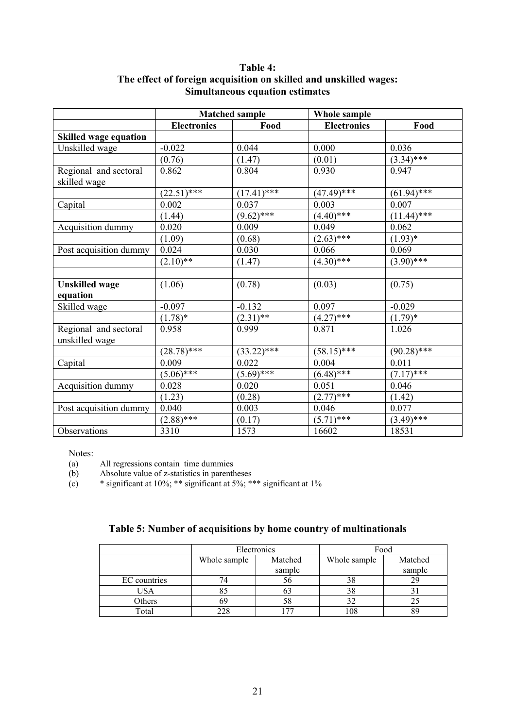#### **Table 4: The effect of foreign acquisition on skilled and unskilled wages: Simultaneous equation estimates**

|                              | <b>Matched sample</b> |               | Whole sample        |               |
|------------------------------|-----------------------|---------------|---------------------|---------------|
|                              | <b>Electronics</b>    | Food          | <b>Electronics</b>  | Food          |
| <b>Skilled wage equation</b> |                       |               |                     |               |
| Unskilled wage               | $-0.022$              | 0.044         | 0.000               | 0.036         |
|                              | (0.76)                | (1.47)        | (0.01)              | $(3.34)$ ***  |
| Regional and sectoral        | 0.862                 | 0.804         | 0.930               | 0.947         |
| skilled wage                 |                       |               |                     |               |
|                              | $(22.51)$ ***         | $(17.41)$ *** | $\sqrt{(47.49)***}$ | $(61.94)$ *** |
| Capital                      | 0.002                 | 0.037         | 0.003               | 0.007         |
|                              | (1.44)                | $(9.62)$ ***  | $(4.40)$ ***        | $(11.44)$ *** |
| Acquisition dummy            | 0.020                 | 0.009         | 0.049               | 0.062         |
|                              | (1.09)                | (0.68)        | $(2.63)$ ***        | $(1.93)^{*}$  |
| Post acquisition dummy       | 0.024                 | 0.030         | 0.066               | 0.069         |
|                              | $(2.10)$ **           | (1.47)        | $(4.30)$ ***        | $(3.90)$ ***  |
|                              |                       |               |                     |               |
| <b>Unskilled</b> wage        | (1.06)                | (0.78)        | (0.03)              | (0.75)        |
| equation                     |                       |               |                     |               |
| Skilled wage                 | $-0.097$              | $-0.132$      | 0.097               | $-0.029$      |
|                              | $(1.78)$ *            | $(2.31)*$     | $(4.27)$ ***        | $(1.79)^*$    |
| Regional and sectoral        | 0.958                 | 0.999         | 0.871               | 1.026         |
| unskilled wage               |                       |               |                     |               |
|                              | $(28.78)$ ***         | $(33.22)$ *** | $(58.15)$ ***       | $(90.28)$ *** |
| Capital                      | 0.009                 | 0.022         | 0.004               | 0.011         |
|                              | $(5.06)$ ***          | $(5.69)$ ***  | $(6.48)$ ***        | $(7.17)$ ***  |
| Acquisition dummy            | 0.028                 | 0.020         | 0.051               | 0.046         |
|                              | (1.23)                | (0.28)        | $(2.77)$ ***        | (1.42)        |
| Post acquisition dummy       | 0.040                 | 0.003         | 0.046               | 0.077         |
|                              | $(2.88)$ ***          | (0.17)        | $(5.71)$ ***        | $(3.49)$ ***  |
| Observations                 | 3310                  | 1573          | 16602               | 18531         |

Notes:

(a) All regressions contain time dummies

(b) Absolute value of z-statistics in parentheses

(c)  $*$  significant at 10%; \*\* significant at 5%; \*\*\* significant at 1%

|              |                         | Electronics | Food         |         |  |
|--------------|-------------------------|-------------|--------------|---------|--|
|              | Matched<br>Whole sample |             | Whole sample | Matched |  |
|              |                         | sample      |              | sample  |  |
| EC countries |                         | 56          | 38           | 29      |  |
| USA          | Ō.                      | 03          | 38           |         |  |
| Others       |                         | 58          | 32           | 25      |  |
| Total        |                         |             | 108          | 89      |  |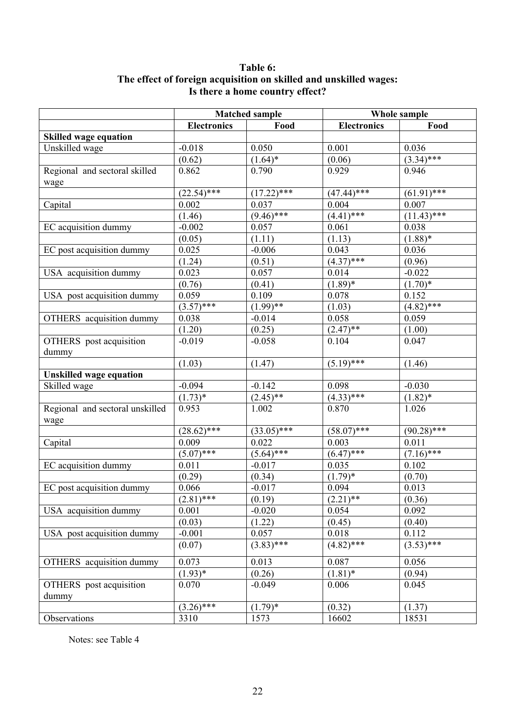#### **Table 6: The effect of foreign acquisition on skilled and unskilled wages: Is there a home country effect?**

|                                 | <b>Matched sample</b> |               | Whole sample       |               |  |
|---------------------------------|-----------------------|---------------|--------------------|---------------|--|
|                                 | <b>Electronics</b>    | Food          | <b>Electronics</b> | Food          |  |
| <b>Skilled wage equation</b>    |                       |               |                    |               |  |
| Unskilled wage                  | $-0.018$              | 0.050         | 0.001              | 0.036         |  |
|                                 | (0.62)                | $(1.64)^*$    | (0.06)             | $(3.34)$ ***  |  |
| Regional and sectoral skilled   | 0.862                 | 0.790         | 0.929              | 0.946         |  |
| wage                            |                       |               |                    |               |  |
|                                 | $(22.54)$ ***         | $(17.22)$ *** | $(47.44)$ ***      | $(61.91)$ *** |  |
| Capital                         | 0.002                 | 0.037         | 0.004              | 0.007         |  |
|                                 | (1.46)                | $(9.46)$ ***  | $(4.41)$ ***       | $(11.43)$ *** |  |
| EC acquisition dummy            | $-0.002$              | 0.057         | 0.061              | 0.038         |  |
|                                 | (0.05)                | (1.11)        | (1.13)             | $(1.88)$ *    |  |
| EC post acquisition dummy       | 0.025                 | $-0.006$      | 0.043              | 0.036         |  |
|                                 | (1.24)                | (0.51)        | $(4.37)$ ***       | (0.96)        |  |
| USA acquisition dummy           | 0.023                 | 0.057         | 0.014              | $-0.022$      |  |
|                                 |                       |               | $(1.89)*$          |               |  |
|                                 | (0.76)                | (0.41)        |                    | $(1.70)*$     |  |
| USA post acquisition dummy      | 0.059                 | 0.109         | 0.078              | 0.152         |  |
|                                 | $(3.57)$ ***          | $(1.99)$ **   | (1.03)             | $(4.82)$ ***  |  |
| OTHERS acquisition dummy        | 0.038                 | $-0.014$      | 0.058              | 0.059         |  |
|                                 | (1.20)                | (0.25)        | $(2.47)$ **        | (1.00)        |  |
| <b>OTHERS</b> post acquisition  | $-0.019$              | $-0.058$      | 0.104              | 0.047         |  |
| dummy                           |                       |               |                    |               |  |
|                                 | (1.03)                | (1.47)        | $(5.19)$ ***       | (1.46)        |  |
| <b>Unskilled wage equation</b>  |                       |               |                    |               |  |
| Skilled wage                    | $-0.094$              | $-0.142$      | 0.098              | $-0.030$      |  |
|                                 | $(1.73)^*$            | $(2.45)$ **   | $(4.33)$ ***       | $(1.82)^*$    |  |
| Regional and sectoral unskilled | 0.953                 | 1.002         | 0.870              | 1.026         |  |
| wage                            |                       |               |                    |               |  |
|                                 | $(28.62)$ ***         | $(33.05)$ *** | $(58.07)$ ***      | $(90.28)$ *** |  |
| Capital                         | 0.009                 | 0.022         | 0.003              | 0.011         |  |
|                                 | $(5.07)$ ***          | $(5.64)$ ***  | $(6.47)$ ***       | $(7.16)$ ***  |  |
| EC acquisition dummy            | 0.011                 | $-0.017$      | 0.035              | 0.102         |  |
|                                 | (0.29)                | (0.34)        | $(1.79)^*$         | (0.70)        |  |
| EC post acquisition dummy       | 0.066                 | $-0.017$      | 0.094              | 0.013         |  |
|                                 | $(2.81)$ ***          | (0.19)        | $(2.21)$ **        | (0.36)        |  |
| USA acquisition dummy           | 0.001                 | $-0.020$      | 0.054              | 0.092         |  |
|                                 | (0.03)                | (1.22)        | (0.45)             | (0.40)        |  |
| USA post acquisition dummy      | $-0.001$              | 0.057         | 0.018              | 0.112         |  |
|                                 |                       |               |                    |               |  |
|                                 | (0.07)                | $(3.83)$ ***  | $(4.82)$ ***       | $(3.53)$ ***  |  |
| OTHERS acquisition dummy        | 0.073                 | 0.013         | 0.087              | 0.056         |  |
|                                 | $(1.93)*$             | (0.26)        | $(1.81)^*$         | (0.94)        |  |
| OTHERS post acquisition         | 0.070                 | $-0.049$      | 0.006              | 0.045         |  |
| dummy                           |                       |               |                    |               |  |
|                                 | $(3.26)$ ***          | $(1.79)^*$    | (0.32)             | (1.37)        |  |
| Observations                    | 3310                  | 1573          | 16602              | 18531         |  |
|                                 |                       |               |                    |               |  |

Notes: see Table 4